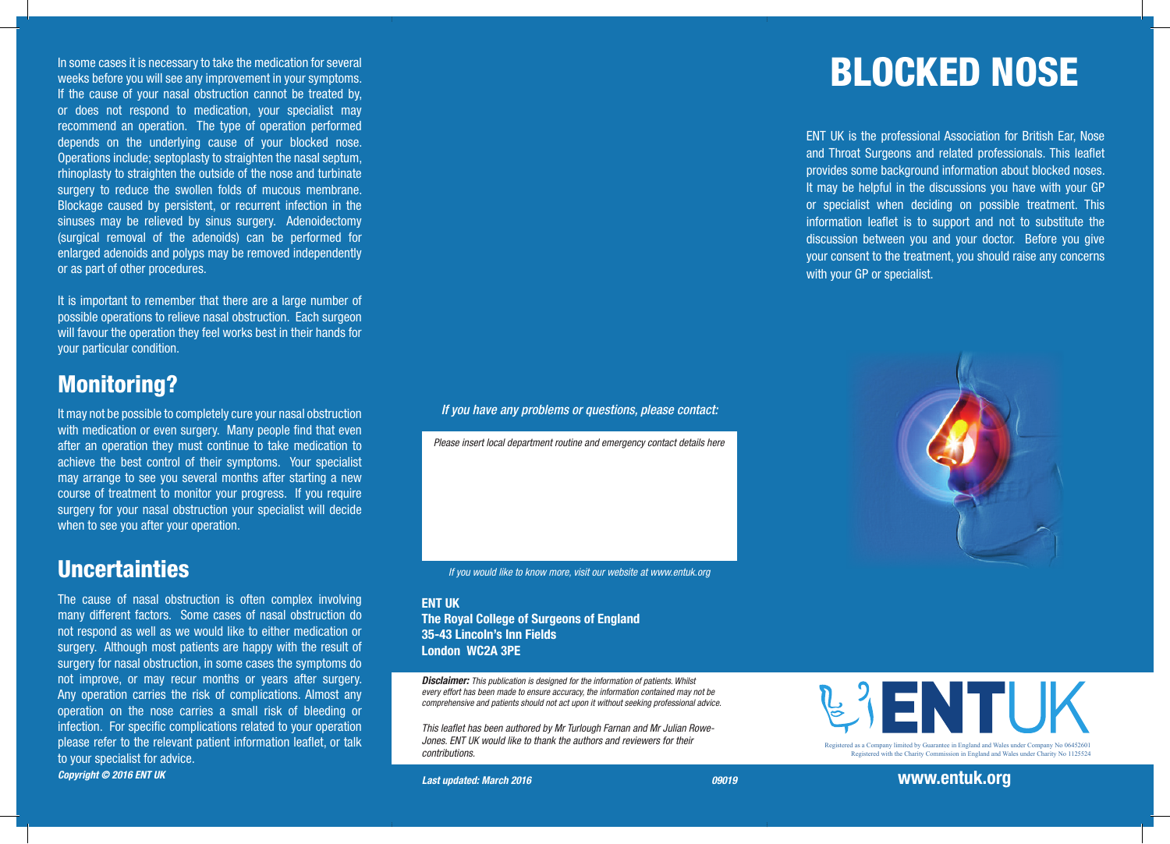In some cases it is necessary to take the medication for several  $\blacksquare$  and  $\blacksquare$  and  $\blacksquare$  and  $\blacksquare$  and  $\blacksquare$  and  $\blacksquare$  and  $\blacksquare$  and  $\blacksquare$  and  $\blacksquare$  and  $\blacksquare$  and  $\blacksquare$  and  $\blacksquare$  and  $\blacksquare$  and  $\blacksquare$  and  $\$ weeks before you will see any improvement in your symptoms. If the cause of your nasal obstruction cannot be treated by, or does not respond to medication, your specialist may recommend an operation. The type of operation performed depends on the underlying cause of your blocked nose. Operations include; septoplasty to straighten the nasal septum, rhinoplasty to straighten the outside of the nose and turbinate surgery to reduce the swollen folds of mucous membrane. Blockage caused by persistent, or recurrent infection in the sinuses may be relieved by sinus surgery. Adenoidectomy (surgical removal of the adenoids) can be performed for enlarged adenoids and polyps may be removed independently or as part of other procedures.

It is important to remember that there are a large number of possible operations to relieve nasal obstruction. Each surgeon will favour the operation they feel works best in their hands for your particular condition.

#### Monitoring?

It may not be possible to completely cure your nasal obstruction with medication or even surgery. Many people find that even after an operation they must continue to take medication to achieve the best control of their symptoms. Your specialist may arrange to see you several months after starting a new course of treatment to monitor your progress. If you require surgery for your nasal obstruction your specialist will decide when to see you after your operation.

#### **Uncertainties**

The cause of nasal obstruction is often complex involving many different factors. Some cases of nasal obstruction do not respond as well as we would like to either medication or surgery. Although most patients are happy with the result of surgery for nasal obstruction, in some cases the symptoms do not improve, or may recur months or years after surgery. Any operation carries the risk of complications. Almost any operation on the nose carries a small risk of bleeding or infection. For specific complications related to your operation please refer to the relevant patient information leaflet, or talk to your specialist for advice. *Copyright © 2016 ENT UK* 

#### *If you have any problems or questions, please contact:*

*Please insert local department routine and emergency contact details here*

*If you would like to know more, visit our website at www.entuk.org*

#### **ENT IIK** The Royal College of Surgeons of England 35-43 Lincoln's Inn Fields London WC2A 3PE

*Disclaimer: This publication is designed for the information of patients. Whilst every effort has been made to ensure accuracy, the information contained may not be comprehensive and patients should not act upon it without seeking professional advice.*

*This leaflet has been authored by Mr Turlough Farnan and Mr Julian Rowe-Jones. ENT UK would like to thank the authors and reviewers for their contributions.*

ENT UK is the professional Association for British Ear, Nose and Throat Surgeons and related professionals. This leaflet provides some background information about blocked noses. It may be helpful in the discussions you have with your GP or specialist when deciding on possible treatment. This information leaflet is to support and not to substitute the discussion between you and your doctor. Before you give your consent to the treatment, you should raise any concerns with your GP or specialist.





Registered with the Charity Commission in England and Wales under Charity No 1125524



Registered as a Company limited by Guarantee in England and Wales under Company No 06452601